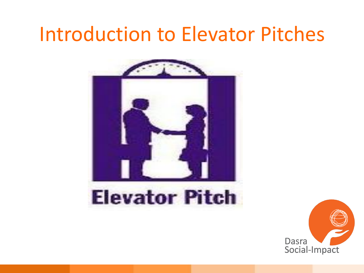#### Introduction to Elevator Pitches



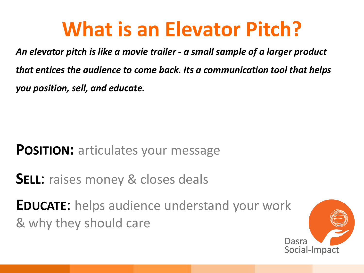#### **What is an Elevator Pitch?**

An elevator pitch is like a movie trailer - a small sample of a larger product that entices the audience to come back. Its a communication tool that helps you position, sell, and educate.

#### **POSITION:** articulates your message

**SELL:** raises money & closes deals

**EDUCATE:** helps audience understand your work & why they should care

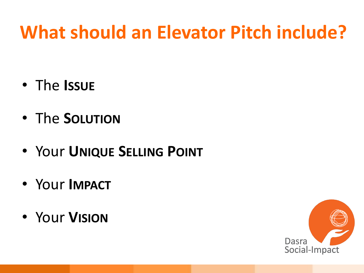#### **What should an Elevator Pitch include?**

- The Issue
- The SOLUTION
- Your UNIQUE SELLING POINT
- Your IMPACT
- Your VISION

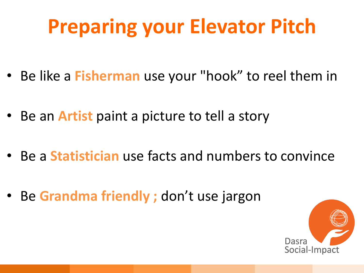## **Preparing your Elevator Pitch**

- Be like a **Fisherman** use your "hook" to reel them in
- Be an **Artist** paint a picture to tell a story
- Be a **Statistician** use facts and numbers to convince
- Be Grandma friendly ; don't use jargon

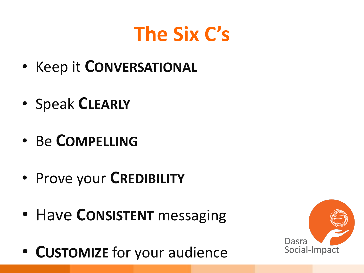## **The Six C's**

- Keep it CONVERSATIONAL
- Speak CLEARLY
- Be COMPELLING
- Prove your CREDIBILITY
- Have CONSISTENT messaging
- CUSTOMIZE for your audience

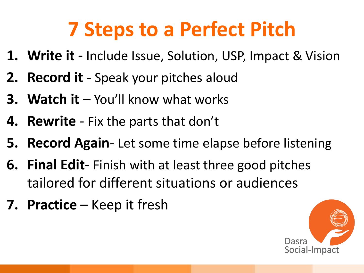## **7 Steps to a Perfect Pitch**

- **1. Write it Include Issue, Solution, USP, Impact & Vision**
- **2. Record it** Speak your pitches aloud
- **3. Watch it**  $-$  You'll know what works
- 4. **Rewrite** Fix the parts that don't
- **5. Record Again-Let some time elapse before listening**
- **6. Final Edit**-Finish with at least three good pitches tailored for different situations or audiences
- **7. Practice** Keep it fresh